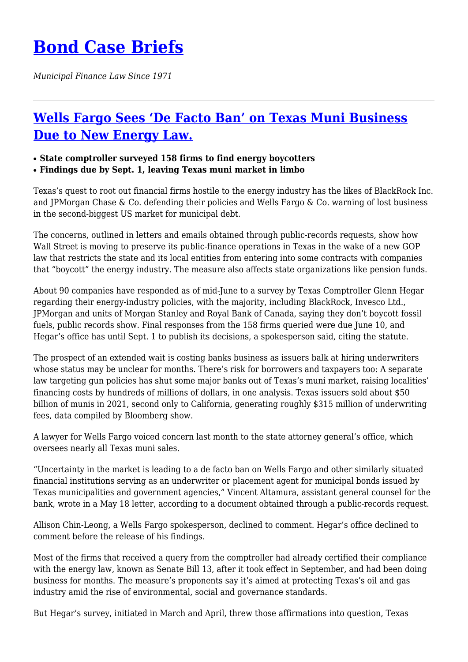# **[Bond Case Briefs](https://bondcasebriefs.com)**

*Municipal Finance Law Since 1971*

## **[Wells Fargo Sees 'De Facto Ban' on Texas Muni Business](https://bondcasebriefs.com/2022/06/21/news/wells-fargo-sees-de-facto-ban-on-texas-muni-business-due-to-new-energy-law/) [Due to New Energy Law.](https://bondcasebriefs.com/2022/06/21/news/wells-fargo-sees-de-facto-ban-on-texas-muni-business-due-to-new-energy-law/)**

#### ● **State comptroller surveyed 158 firms to find energy boycotters**

● **Findings due by Sept. 1, leaving Texas muni market in limbo**

Texas's quest to root out financial firms hostile to the energy industry has the likes of BlackRock Inc. and JPMorgan Chase & Co. defending their policies and Wells Fargo & Co. warning of lost business in the second-biggest US market for municipal debt.

The concerns, outlined in letters and emails obtained through public-records requests, show how Wall Street is moving to preserve its public-finance operations in Texas in the wake of a new GOP law that restricts the state and its local entities from entering into some contracts with companies that "boycott" the energy industry. The measure also affects state organizations like pension funds.

About 90 companies have responded as of mid-June to a survey by Texas Comptroller Glenn Hegar regarding their energy-industry policies, with the majority, including BlackRock, Invesco Ltd., JPMorgan and units of Morgan Stanley and Royal Bank of Canada, saying they don't boycott fossil fuels, public records show. Final responses from the 158 firms queried were due June 10, and Hegar's office has until Sept. 1 to publish its decisions, a spokesperson said, citing the statute.

The prospect of an extended wait is costing banks business as issuers balk at hiring underwriters whose status may be unclear for months. There's risk for borrowers and taxpayers too: A separate law targeting gun policies has shut some major banks out of Texas's muni market, raising localities' financing costs by hundreds of millions of dollars, in one analysis. Texas issuers sold about \$50 billion of munis in 2021, second only to California, generating roughly \$315 million of underwriting fees, data compiled by Bloomberg show.

A lawyer for Wells Fargo voiced concern last month to the state attorney general's office, which oversees nearly all Texas muni sales.

"Uncertainty in the market is leading to a de facto ban on Wells Fargo and other similarly situated financial institutions serving as an underwriter or placement agent for municipal bonds issued by Texas municipalities and government agencies," Vincent Altamura, assistant general counsel for the bank, wrote in a May 18 letter, according to a document obtained through a public-records request.

Allison Chin-Leong, a Wells Fargo spokesperson, declined to comment. Hegar's office declined to comment before the release of his findings.

Most of the firms that received a query from the comptroller had already certified their compliance with the energy law, known as Senate Bill 13, after it took effect in September, and had been doing business for months. The measure's proponents say it's aimed at protecting Texas's oil and gas industry amid the rise of environmental, social and governance standards.

But Hegar's survey, initiated in March and April, threw those affirmations into question, Texas